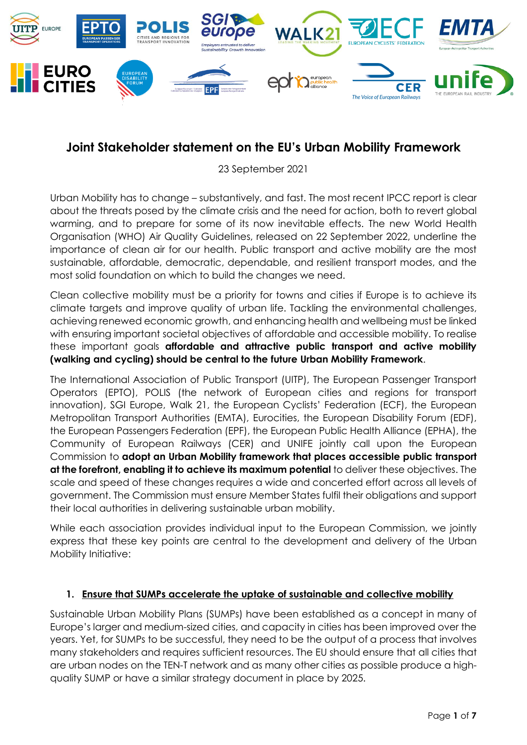

# **Joint Stakeholder statement on the EU's Urban Mobility Framework**

23 September 2021

Urban Mobility has to change – substantively, and fast. The most recent IPCC report is clear about the threats posed by the climate crisis and the need for action, both to revert global warming, and to prepare for some of its now inevitable effects. The new World Health Organisation (WHO) Air Quality Guidelines, released on 22 September 2022, underline the importance of clean air for our health. Public transport and active mobility are the most sustainable, affordable, democratic, dependable, and resilient transport modes, and the most solid foundation on which to build the changes we need.

Clean collective mobility must be a priority for towns and cities if Europe is to achieve its climate targets and improve quality of urban life. Tackling the environmental challenges, achieving renewed economic growth, and enhancing health and wellbeing must be linked with ensuring important societal objectives of affordable and accessible mobility. To realise these important goals **affordable and attractive public transport and active mobility (walking and cycling) should be central to the future Urban Mobility Framework**.

The International Association of Public Transport (UITP), The European Passenger Transport Operators (EPTO), POLIS (the network of European cities and regions for transport innovation), SGI Europe, Walk 21, the European Cyclists' Federation (ECF), the European Metropolitan Transport Authorities (EMTA), Eurocities, the European Disability Forum (EDF), the European Passengers Federation (EPF), the European Public Health Alliance (EPHA), the Community of European Railways (CER) and UNIFE jointly call upon the European Commission to **adopt an Urban Mobility framework that places accessible public transport at the forefront, enabling it to achieve its maximum potential** to deliver these objectives. The scale and speed of these changes requires a wide and concerted effort across all levels of government. The Commission must ensure Member States fulfil their obligations and support their local authorities in delivering sustainable urban mobility.

While each association provides individual input to the European Commission, we jointly express that these key points are central to the development and delivery of the Urban Mobility Initiative:

## **1. Ensure that SUMPs accelerate the uptake of sustainable and collective mobility**

Sustainable Urban Mobility Plans (SUMPs) have been established as a concept in many of Europe's larger and medium-sized cities, and capacity in cities has been improved over the years. Yet, for SUMPs to be successful, they need to be the output of a process that involves many stakeholders and requires sufficient resources. The EU should ensure that all cities that are urban nodes on the TEN-T network and as many other cities as possible produce a highquality SUMP or have a similar strategy document in place by 2025.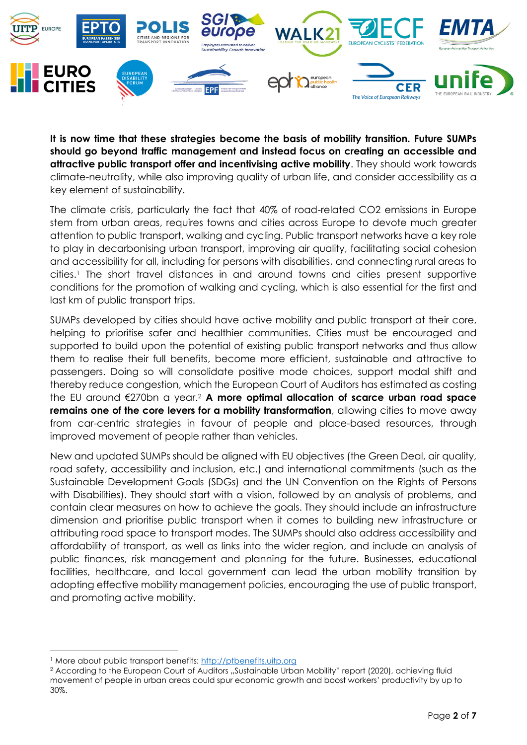

**It is now time that these strategies become the basis of mobility transition. Future SUMPs should go beyond traffic management and instead focus on creating an accessible and attractive public transport offer and incentivising active mobility**. They should work towards climate-neutrality, while also improving quality of urban life, and consider accessibility as a key element of sustainability.

The climate crisis, particularly the fact that 40% of road-related CO2 emissions in Europe stem from urban areas, requires towns and cities across Europe to devote much greater attention to public transport, walking and cycling. Public transport networks have a key role to play in decarbonising urban transport, improving air quality, facilitating social cohesion and accessibility for all, including for persons with disabilities, and connecting rural areas to cities.<sup>1</sup> The short travel distances in and around towns and cities present supportive conditions for the promotion of walking and cycling, which is also essential for the first and last km of public transport trips.

SUMPs developed by cities should have active mobility and public transport at their core, helping to prioritise safer and healthier communities. Cities must be encouraged and supported to build upon the potential of existing public transport networks and thus allow them to realise their full benefits, become more efficient, sustainable and attractive to passengers. Doing so will consolidate positive mode choices, support modal shift and thereby reduce congestion, which the European Court of Auditors has estimated as costing the EU around €270bn a year.<sup>2</sup> **A more optimal allocation of scarce urban road space remains one of the core levers for a mobility transformation**, allowing cities to move away from car-centric strategies in favour of people and place-based resources, through improved movement of people rather than vehicles.

New and updated SUMPs should be aligned with EU objectives (the Green Deal, air quality, road safety, accessibility and inclusion, etc.) and international commitments (such as the Sustainable Development Goals (SDGs) and the UN Convention on the Rights of Persons with Disabilities). They should start with a vision, followed by an analysis of problems, and contain clear measures on how to achieve the goals. They should include an infrastructure dimension and prioritise public transport when it comes to building new infrastructure or attributing road space to transport modes. The SUMPs should also address accessibility and affordability of transport, as well as links into the wider region, and include an analysis of public finances, risk management and planning for the future. Businesses, educational facilities, healthcare, and local government can lead the urban mobility transition by adopting effective mobility management policies, encouraging the use of public transport, and promoting active mobility.

<sup>&</sup>lt;sup>1</sup> More about public transport benefits: [http://ptbenefits.uitp.org](http://ptbenefits.uitp.org/)

<sup>&</sup>lt;sup>2</sup> According to the European Court of Auditors "Sustainable Urban Mobility" report (2020), achieving fluid movement of people in urban areas could spur economic growth and boost workers' productivity by up to 30%.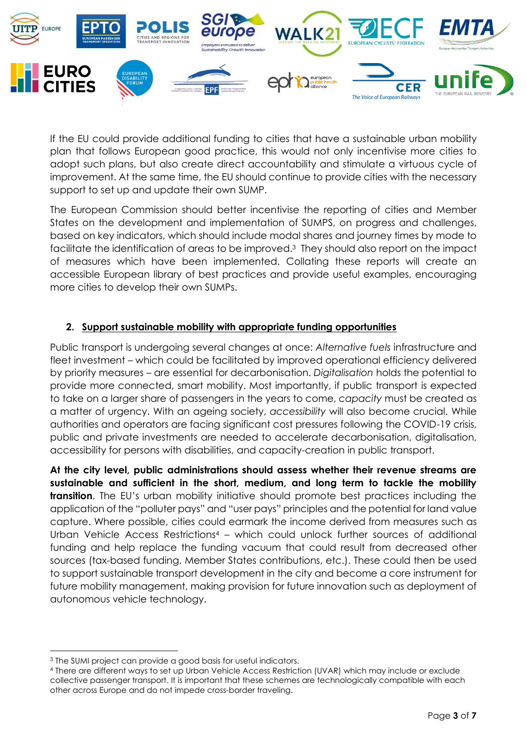

If the EU could provide additional funding to cities that have a sustainable urban mobility plan that follows European good practice, this would not only incentivise more cities to adopt such plans, but also create direct accountability and stimulate a virtuous cycle of improvement. At the same time, the EU should continue to provide cities with the necessary support to set up and update their own SUMP.

The European Commission should better incentivise the reporting of cities and Member States on the development and implementation of SUMPS, on progress and challenges, based on key indicators, which should include modal shares and journey times by mode to facilitate the identification of areas to be improved. 3 They should also report on the impact of measures which have been implemented. Collating these reports will create an accessible European library of best practices and provide useful examples, encouraging more cities to develop their own SUMPs.

## **2. Support sustainable mobility with appropriate funding opportunities**

Public transport is undergoing several changes at once: *Alternative fuels* infrastructure and fleet investment – which could be facilitated by improved operational efficiency delivered by priority measures – are essential for decarbonisation. *Digitalisation* holds the potential to provide more connected, smart mobility. Most importantly, if public transport is expected to take on a larger share of passengers in the years to come, *capacity* must be created as a matter of urgency. With an ageing society, *accessibility* will also become crucial. While authorities and operators are facing significant cost pressures following the COVID-19 crisis, public and private investments are needed to accelerate decarbonisation, digitalisation, accessibility for persons with disabilities, and capacity-creation in public transport.

**At the city level, public administrations should assess whether their revenue streams are sustainable and sufficient in the short, medium, and long term to tackle the mobility transition**. The EU's urban mobility initiative should promote best practices including the application of the "polluter pays" and "user pays" principles and the potential for land value capture. Where possible, cities could earmark the income derived from measures such as Urban Vehicle Access Restrictions<sup>4</sup> – which could unlock further sources of additional funding and help replace the funding vacuum that could result from decreased other sources (tax-based funding, Member States contributions, etc.). These could then be used to support sustainable transport development in the city and become a core instrument for future mobility management, making provision for future innovation such as deployment of autonomous vehicle technology.

<sup>3</sup> The SUMI project can provide a good basis for useful indicators.

<sup>4</sup> There are different ways to set up Urban Vehicle Access Restriction (UVAR) which may include or exclude collective passenger transport. It is important that these schemes are technologically compatible with each other across Europe and do not impede cross-border traveling.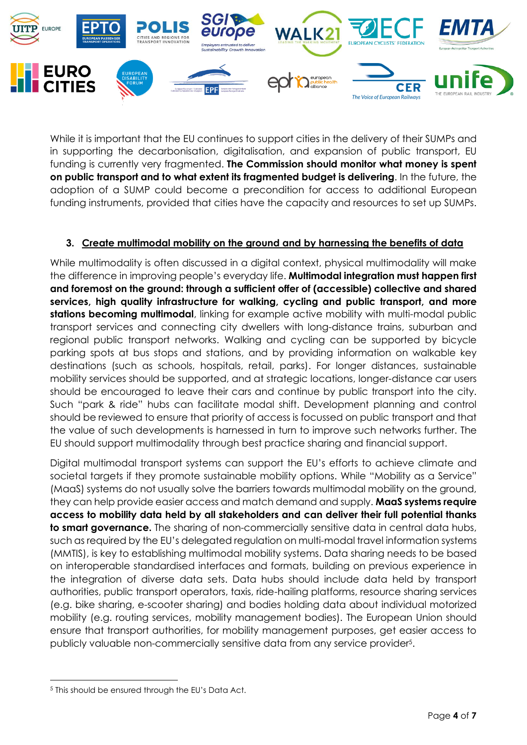

While it is important that the EU continues to support cities in the delivery of their SUMPs and in supporting the decarbonisation, digitalisation, and expansion of public transport, EU funding is currently very fragmented. **The Commission should monitor what money is spent on public transport and to what extent its fragmented budget is delivering**. In the future, the adoption of a SUMP could become a precondition for access to additional European funding instruments, provided that cities have the capacity and resources to set up SUMPs.

## **3. Create multimodal mobility on the ground and by harnessing the benefits of data**

While multimodality is often discussed in a digital context, physical multimodality will make the difference in improving people's everyday life. **Multimodal integration must happen first and foremost on the ground: through a sufficient offer of (accessible) collective and shared services, high quality infrastructure for walking, cycling and public transport, and more**  stations becoming multimodal, linking for example active mobility with multi-modal public transport services and connecting city dwellers with long-distance trains, suburban and regional public transport networks. Walking and cycling can be supported by bicycle parking spots at bus stops and stations, and by providing information on walkable key destinations (such as schools, hospitals, retail, parks). For longer distances, sustainable mobility services should be supported, and at strategic locations, longer-distance car users should be encouraged to leave their cars and continue by public transport into the city. Such "park & ride" hubs can facilitate modal shift. Development planning and control should be reviewed to ensure that priority of access is focussed on public transport and that the value of such developments is harnessed in turn to improve such networks further. The EU should support multimodality through best practice sharing and financial support.

Digital multimodal transport systems can support the EU's efforts to achieve climate and societal targets if they promote sustainable mobility options. While "Mobility as a Service" (MaaS) systems do not usually solve the barriers towards multimodal mobility on the ground, they can help provide easier access and match demand and supply. **MaaS systems require access to mobility data held by all stakeholders and can deliver their full potential thanks to smart governance.** The sharing of non-commercially sensitive data in central data hubs, such as required by the EU's delegated regulation on multi-modal travel information systems (MMTIS), is key to establishing multimodal mobility systems. Data sharing needs to be based on interoperable standardised interfaces and formats, building on previous experience in the integration of diverse data sets. Data hubs should include data held by transport authorities, public transport operators, taxis, ride-hailing platforms, resource sharing services (e.g. bike sharing, e-scooter sharing) and bodies holding data about individual motorized mobility (e.g. routing services, mobility management bodies). The European Union should ensure that transport authorities, for mobility management purposes, get easier access to publicly valuable non-commercially sensitive data from any service provider<sup>5</sup>.

<sup>5</sup> This should be ensured through the EU's Data Act.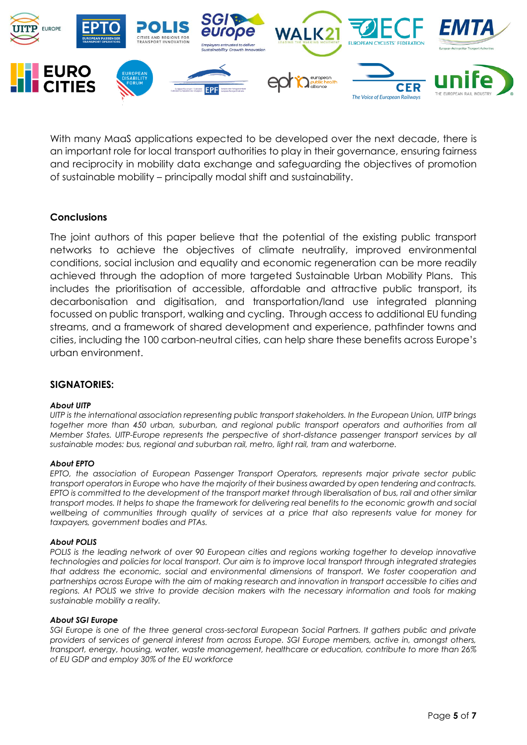

With many MaaS applications expected to be developed over the next decade, there is an important role for local transport authorities to play in their governance, ensuring fairness and reciprocity in mobility data exchange and safeguarding the objectives of promotion of sustainable mobility – principally modal shift and sustainability.

### **Conclusions**

The joint authors of this paper believe that the potential of the existing public transport networks to achieve the objectives of climate neutrality, improved environmental conditions, social inclusion and equality and economic regeneration can be more readily achieved through the adoption of more targeted Sustainable Urban Mobility Plans. This includes the prioritisation of accessible, affordable and attractive public transport, its decarbonisation and digitisation, and transportation/land use integrated planning focussed on public transport, walking and cycling. Through access to additional EU funding streams, and a framework of shared development and experience, pathfinder towns and cities, including the 100 carbon-neutral cities, can help share these benefits across Europe's urban environment.

### **SIGNATORIES:**

### *About UITP*

*UITP is the international association representing public transport stakeholders. In the European Union, UITP brings together more than 450 urban, suburban, and regional public transport operators and authorities from all Member States. UITP-Europe represents the perspective of short-distance passenger transport services by all sustainable modes: bus, regional and suburban rail, metro, light rail, tram and waterborne.* 

#### *About EPTO*

*EPTO, the association of European Passenger Transport Operators, represents major private sector public transport operators in Europe who have the majority of their business awarded by open tendering and contracts. EPTO is committed to the development of the transport market through liberalisation of bus, rail and other similar transport modes. It helps to shape the framework for delivering real benefits to the economic growth and social wellbeing of communities through quality of services at a price that also represents value for money for taxpayers, government bodies and PTAs.* 

#### *About POLIS*

*POLIS is the leading network of over 90 European cities and regions working together to develop innovative technologies and policies for local transport. Our aim is to improve local transport through integrated strategies that address the economic, social and environmental dimensions of transport. We foster cooperation and partnerships across Europe with the aim of making research and innovation in transport accessible to cities and regions. At POLIS we strive to provide decision makers with the necessary information and tools for making sustainable mobility a reality.* 

#### *About SGI Europe*

*SGI Europe is one of the three general cross-sectoral European Social Partners. It gathers public and private providers of services of general interest from across Europe. SGI Europe members, active in, amongst others, transport, energy, housing, water, waste management, healthcare or education, contribute to more than 26% of EU GDP and employ 30% of the EU workforce*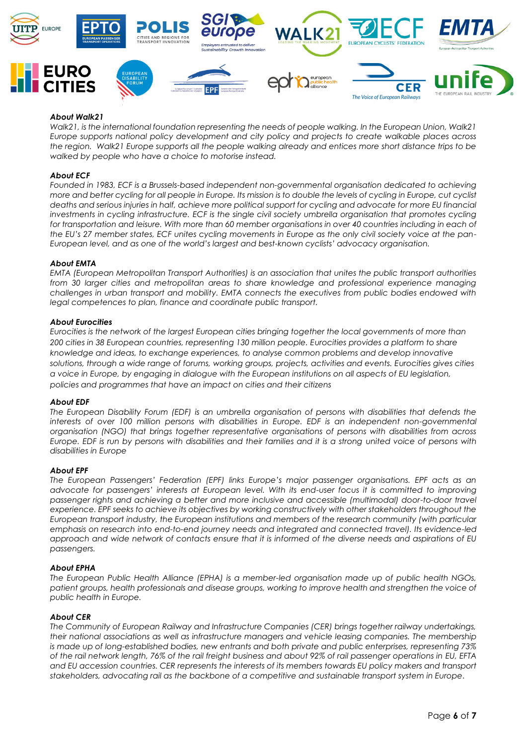

#### *About Walk21*

*Walk21, is the international foundation representing the needs of people walking. In the European Union, Walk21 Europe supports national policy development and city policy and projects to create walkable places across the region. Walk21 Europe supports all the people walking already and entices more short distance trips to be walked by people who have a choice to motorise instead.*

#### *About ECF*

*Founded in 1983, ECF is a Brussels-based independent non-governmental organisation dedicated to achieving more and better cycling for all people in Europe. Its mission is to double the levels of cycling in Europe, cut cyclist deaths and serious injuries in half, achieve more political support for cycling and advocate for more EU financial investments in cycling infrastructure. ECF is the single civil society umbrella organisation that promotes cycling for transportation and leisure. With more than 60 member organisations in over 40 countries including in each of the EU's 27 member states, ECF unites cycling movements in Europe as the only civil society voice at the pan-European level, and as one of the world's largest and best-known cyclists' advocacy organisation.*

#### *About EMTA*

*EMTA (European Metropolitan Transport Authorities) is an association that unites the public transport authorities from 30 larger cities and metropolitan areas to share knowledge and professional experience managing challenges in urban transport and mobility. EMTA connects the executives from public bodies endowed with legal competences to plan, finance and coordinate public transport.* 

#### *About Eurocities*

*Eurocities is the network of the largest European cities bringing together the local governments of more than 200 cities in 38 European countries, representing 130 million people. Eurocities provides a platform to share knowledge and ideas, to exchange experiences, to analyse common problems and develop innovative solutions, through a wide range of forums, working groups, projects, activities and events. Eurocities gives cities a voice in Europe, by engaging in dialogue with the European institutions on all aspects of EU legislation, policies and programmes that have an impact on cities and their citizens*

#### *About EDF*

*The European Disability Forum (EDF) is an umbrella organisation of persons with disabilities that defends the interests of over 100 million persons with disabilities in Europe. EDF is an independent non-governmental organisation (NGO) that brings together representative organisations of persons with disabilities from across Europe. EDF is run by persons with disabilities and their families and it is a strong united voice of persons with disabilities in Europe*

#### *About EPF*

*The European Passengers' Federation (EPF) links Europe's major passenger organisations. EPF acts as an advocate for passengers' interests at European level. With its end-user focus it is committed to improving passenger rights and achieving a better and more inclusive and accessible (multimodal) door-to-door travel*  experience. EPF seeks to achieve its objectives by working constructively with other stakeholders throughout the *European transport industry, the European institutions and members of the research community (with particular emphasis on research into end-to-end journey needs and integrated and connected travel). Its evidence-led approach and wide network of contacts ensure that it is informed of the diverse needs and aspirations of EU passengers.*

#### *About EPHA*

*The European Public Health Alliance (EPHA) is a member-led organisation made up of public health NGOs, patient groups, health professionals and disease groups, working to improve health and strengthen the voice of public health in Europe.*

#### *About CER*

*The Community of European Railway and Infrastructure Companies (CER) brings together railway undertakings, their national associations as well as infrastructure managers and vehicle leasing companies. The membership is made up of long-established bodies, new entrants and both private and public enterprises, representing 73% of the rail network length, 76% of the rail freight business and about 92% of rail passenger operations in EU, EFTA and EU accession countries. CER represents the interests of its members towards EU policy makers and transport stakeholders, advocating rail as the backbone of a competitive and sustainable transport system in Europe.*